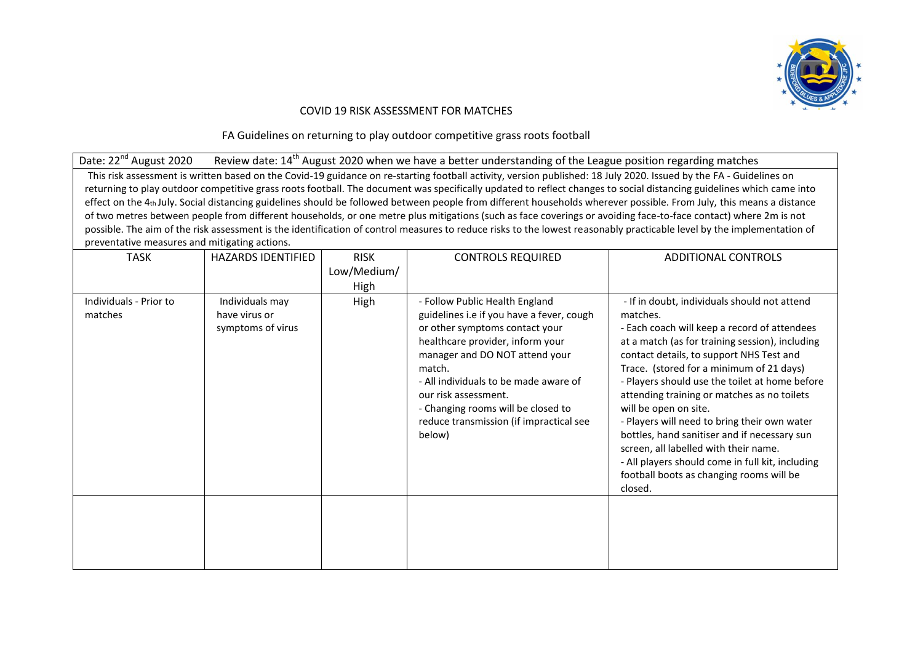

## COVID 19 RISK ASSESSMENT FOR MATCHES

FA Guidelines on returning to play outdoor competitive grass roots football

Date: 22<sup>nd</sup> August 2020 Review date: 14<sup>th</sup> August 2020 when we have a better understanding of the League position regarding matches

This risk assessment is written based on the Covid-19 guidance on re-starting football activity, version published: 18 July 2020. Issued by the FA - Guidelines on returning to play outdoor competitive grass roots football. The document was specifically updated to reflect changes to social distancing guidelines which came into effect on the 4th July. Social distancing guidelines should be followed between people from different households wherever possible. From July, this means a distance of two metres between people from different households, or one metre plus mitigations (such as face coverings or avoiding face-to-face contact) where 2m is not possible. The aim of the risk assessment is the identification of control measures to reduce risks to the lowest reasonably practicable level by the implementation of preventative measures and mitigating actions.

| <b>TASK</b>                       | <b>HAZARDS IDENTIFIED</b>                             | <b>RISK</b><br>Low/Medium/<br>High | <b>CONTROLS REQUIRED</b>                                                                                                                                                                                                                                                                                                                                  | <b>ADDITIONAL CONTROLS</b>                                                                                                                                                                                                                                                                                                                                                                                                                                                                                                                                                                                                        |
|-----------------------------------|-------------------------------------------------------|------------------------------------|-----------------------------------------------------------------------------------------------------------------------------------------------------------------------------------------------------------------------------------------------------------------------------------------------------------------------------------------------------------|-----------------------------------------------------------------------------------------------------------------------------------------------------------------------------------------------------------------------------------------------------------------------------------------------------------------------------------------------------------------------------------------------------------------------------------------------------------------------------------------------------------------------------------------------------------------------------------------------------------------------------------|
| Individuals - Prior to<br>matches | Individuals may<br>have virus or<br>symptoms of virus | High                               | - Follow Public Health England<br>guidelines i.e if you have a fever, cough<br>or other symptoms contact your<br>healthcare provider, inform your<br>manager and DO NOT attend your<br>match.<br>- All individuals to be made aware of<br>our risk assessment.<br>- Changing rooms will be closed to<br>reduce transmission (if impractical see<br>below) | - If in doubt, individuals should not attend<br>matches.<br>- Each coach will keep a record of attendees<br>at a match (as for training session), including<br>contact details, to support NHS Test and<br>Trace. (stored for a minimum of 21 days)<br>- Players should use the toilet at home before<br>attending training or matches as no toilets<br>will be open on site.<br>- Players will need to bring their own water<br>bottles, hand sanitiser and if necessary sun<br>screen, all labelled with their name.<br>- All players should come in full kit, including<br>football boots as changing rooms will be<br>closed. |
|                                   |                                                       |                                    |                                                                                                                                                                                                                                                                                                                                                           |                                                                                                                                                                                                                                                                                                                                                                                                                                                                                                                                                                                                                                   |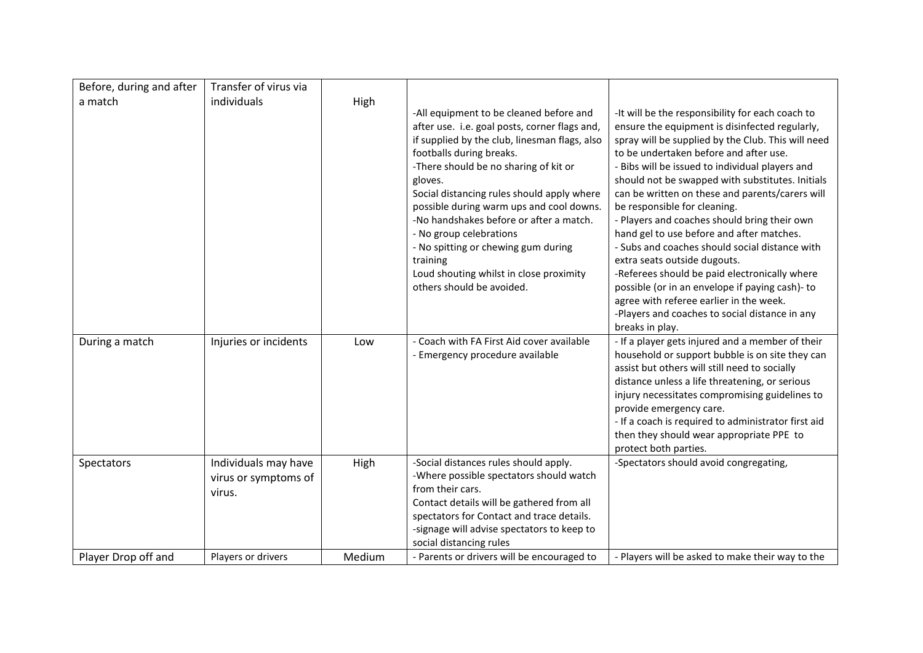| Before, during and after | Transfer of virus via                                  |        |                                                                                                                                                                                                                                                                                                                                                                                                                                                                                                                      |                                                                                                                                                                                                                                                                                                                                                                                                                                                                                                                                                                                                                                                                                                                                                                                                 |
|--------------------------|--------------------------------------------------------|--------|----------------------------------------------------------------------------------------------------------------------------------------------------------------------------------------------------------------------------------------------------------------------------------------------------------------------------------------------------------------------------------------------------------------------------------------------------------------------------------------------------------------------|-------------------------------------------------------------------------------------------------------------------------------------------------------------------------------------------------------------------------------------------------------------------------------------------------------------------------------------------------------------------------------------------------------------------------------------------------------------------------------------------------------------------------------------------------------------------------------------------------------------------------------------------------------------------------------------------------------------------------------------------------------------------------------------------------|
| a match                  | individuals                                            | High   | -All equipment to be cleaned before and<br>after use. i.e. goal posts, corner flags and,<br>if supplied by the club, linesman flags, also<br>footballs during breaks.<br>-There should be no sharing of kit or<br>gloves.<br>Social distancing rules should apply where<br>possible during warm ups and cool downs.<br>-No handshakes before or after a match.<br>- No group celebrations<br>- No spitting or chewing gum during<br>training<br>Loud shouting whilst in close proximity<br>others should be avoided. | -It will be the responsibility for each coach to<br>ensure the equipment is disinfected regularly,<br>spray will be supplied by the Club. This will need<br>to be undertaken before and after use.<br>- Bibs will be issued to individual players and<br>should not be swapped with substitutes. Initials<br>can be written on these and parents/carers will<br>be responsible for cleaning.<br>- Players and coaches should bring their own<br>hand gel to use before and after matches.<br>- Subs and coaches should social distance with<br>extra seats outside dugouts.<br>-Referees should be paid electronically where<br>possible (or in an envelope if paying cash)- to<br>agree with referee earlier in the week.<br>-Players and coaches to social distance in any<br>breaks in play. |
| During a match           | Injuries or incidents                                  | Low    | - Coach with FA First Aid cover available<br>- Emergency procedure available                                                                                                                                                                                                                                                                                                                                                                                                                                         | - If a player gets injured and a member of their<br>household or support bubble is on site they can<br>assist but others will still need to socially<br>distance unless a life threatening, or serious<br>injury necessitates compromising guidelines to<br>provide emergency care.<br>- If a coach is required to administrator first aid<br>then they should wear appropriate PPE to<br>protect both parties.                                                                                                                                                                                                                                                                                                                                                                                 |
| Spectators               | Individuals may have<br>virus or symptoms of<br>virus. | High   | -Social distances rules should apply.<br>-Where possible spectators should watch<br>from their cars.<br>Contact details will be gathered from all<br>spectators for Contact and trace details.<br>-signage will advise spectators to keep to<br>social distancing rules                                                                                                                                                                                                                                              | -Spectators should avoid congregating,                                                                                                                                                                                                                                                                                                                                                                                                                                                                                                                                                                                                                                                                                                                                                          |
| Player Drop off and      | Players or drivers                                     | Medium | - Parents or drivers will be encouraged to                                                                                                                                                                                                                                                                                                                                                                                                                                                                           | - Players will be asked to make their way to the                                                                                                                                                                                                                                                                                                                                                                                                                                                                                                                                                                                                                                                                                                                                                |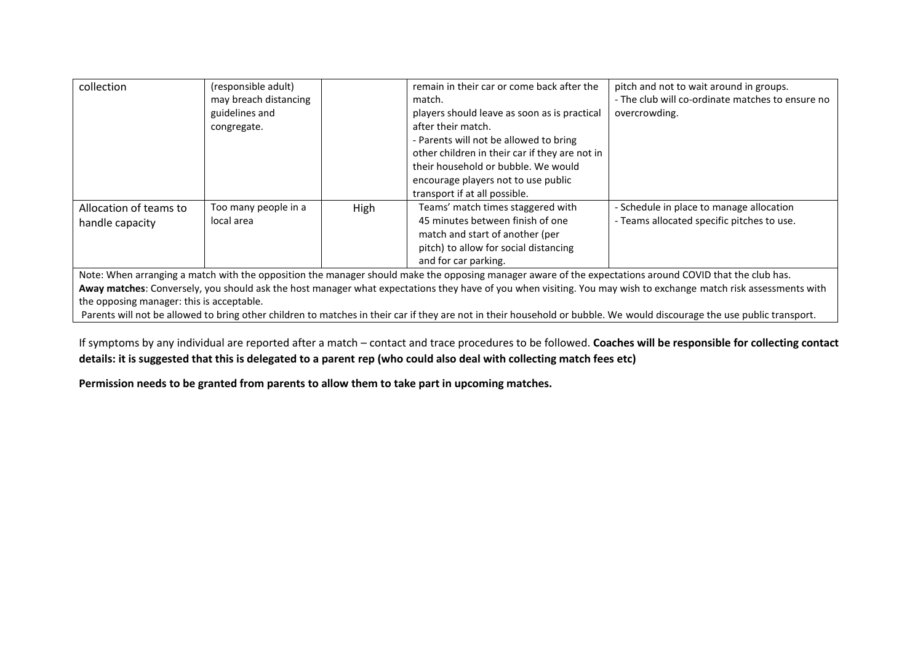| collection             | (responsible adult)   |      | remain in their car or come back after the     | pitch and not to wait around in groups.          |
|------------------------|-----------------------|------|------------------------------------------------|--------------------------------------------------|
|                        | may breach distancing |      | match.                                         | - The club will co-ordinate matches to ensure no |
|                        | guidelines and        |      | players should leave as soon as is practical   | overcrowding.                                    |
|                        | congregate.           |      | after their match.                             |                                                  |
|                        |                       |      | - Parents will not be allowed to bring         |                                                  |
|                        |                       |      | other children in their car if they are not in |                                                  |
|                        |                       |      | their household or bubble. We would            |                                                  |
|                        |                       |      | encourage players not to use public            |                                                  |
|                        |                       |      | transport if at all possible.                  |                                                  |
| Allocation of teams to | Too many people in a  | High | Teams' match times staggered with              | - Schedule in place to manage allocation         |
| handle capacity        | local area            |      | 45 minutes between finish of one               | - Teams allocated specific pitches to use.       |
|                        |                       |      | match and start of another (per                |                                                  |
|                        |                       |      | pitch) to allow for social distancing          |                                                  |
|                        |                       |      | and for car parking.                           |                                                  |

Note: When arranging a match with the opposition the manager should make the opposing manager aware of the expectations around COVID that the club has. Away matches: Conversely, you should ask the host manager what expectations they have of you when visiting. You may wish to exchange match risk assessments with the opposing manager: this is acceptable.

Parents will not be allowed to bring other children to matches in their car if they are not in their household or bubble. We would discourage the use public transport.

If symptoms by any individual are reported after a match – contact and trace procedures to be followed. **Coaches will be responsible for collecting contact details: it is suggested that this is delegated to a parent rep (who could also deal with collecting match fees etc)**

**Permission needs to be granted from parents to allow them to take part in upcoming matches.**